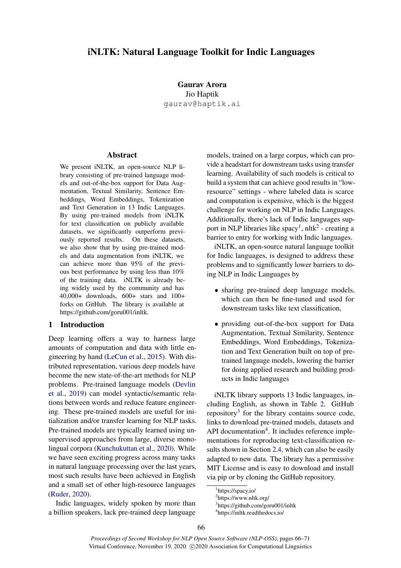# iNLTK: Natural Language Toolkit for Indic Languages

Gaurav Arora Jio Haptik gaurav@haptik.ai

### Abstract

We present iNLTK, an open-source NLP library consisting of pre-trained language models and out-of-the-box support for Data Augmentation, Textual Similarity, Sentence Embeddings, Word Embeddings, Tokenization and Text Generation in 13 Indic Languages. By using pre-trained models from iNLTK for text classification on publicly available datasets, we significantly outperform previously reported results. On these datasets, we also show that by using pre-trained models and data augmentation from iNLTK, we can achieve more than 95% of the previous best performance by using less than 10% of the training data. iNLTK is already being widely used by the community and has 40,000+ downloads, 600+ stars and 100+ forks on GitHub. The library is available at https://github.com/goru001/inltk.

#### 1 Introduction

Deep learning offers a way to harness large amounts of computation and data with little engineering by hand [\(LeCun et al.,](#page-5-0) [2015\)](#page-5-0). With distributed representation, various deep models have become the new state-of-the-art methods for NLP problems. Pre-trained language models [\(Devlin](#page-5-1) [et al.,](#page-5-1) [2019\)](#page-5-1) can model syntactic/semantic relations between words and reduce feature engineering. These pre-trained models are useful for initialization and/or transfer learning for NLP tasks. Pre-trained models are typically learned using unsupervised approaches from large, diverse monolingual corpora [\(Kunchukuttan et al.,](#page-5-2) [2020\)](#page-5-2). While we have seen exciting progress across many tasks in natural language processing over the last years, most such results have been achieved in English and a small set of other high-resource languages [\(Ruder,](#page-5-3) [2020\)](#page-5-3).

Indic languages, widely spoken by more than a billion speakers, lack pre-trained deep language

models, trained on a large corpus, which can provide a headstart for downstream tasks using transfer learning. Availability of such models is critical to build a system that can achieve good results in "lowresource" settings - where labeled data is scarce and computation is expensive, which is the biggest challenge for working on NLP in Indic Languages. Additionally, there's lack of Indic languages sup-port in NLP libraries like spacy<sup>[1](#page-0-0)</sup>, nltk<sup>[2](#page-0-1)</sup> - creating a barrier to entry for working with Indic languages.

iNLTK, an open-source natural language toolkit for Indic languages, is designed to address these problems and to significantly lower barriers to doing NLP in Indic Languages by

- sharing pre-trained deep language models, which can then be fine-tuned and used for downstream tasks like text classification,
- providing out-of-the-box support for Data Augmentation, Textual Similarity, Sentence Embeddings, Word Embeddings, Tokenization and Text Generation built on top of pretrained language models, lowering the barrier for doing applied research and building products in Indic languages

iNLTK library supports 13 Indic languages, including English, as shown in Table [2.](#page-1-0) GitHub repository<sup>[3](#page-0-2)</sup> for the library contains source code, links to download pre-trained models, datasets and API documentation $4$ . It includes reference implementations for reproducing text-classification results shown in Section [2.4,](#page-2-0) which can also be easily adapted to new data. The library has a permissive MIT License and is easy to download and install via pip or by cloning the GitHub repository.

<span id="page-0-0"></span><sup>1</sup> https://spacy.io/

<span id="page-0-1"></span><sup>2</sup> https://www.nltk.org/

<span id="page-0-2"></span><sup>3</sup> https://github.com/goru001/inltk

<span id="page-0-3"></span><sup>4</sup> https://inltk.readthedocs.io/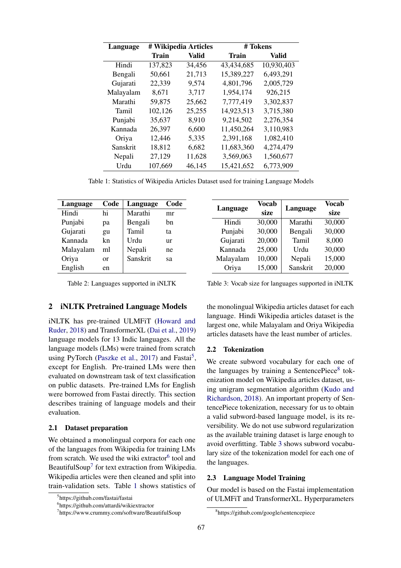<span id="page-1-4"></span>

| Language  |              | # Wikipedia Articles | # Tokens     |            |  |  |
|-----------|--------------|----------------------|--------------|------------|--|--|
|           | <b>Train</b> | Valid                | <b>Train</b> | Valid      |  |  |
| Hindi     | 137,823      | 34,456               | 43,434,685   | 10,930,403 |  |  |
| Bengali   | 50,661       | 21,713               | 15,389,227   | 6,493,291  |  |  |
| Gujarati  | 22,339       | 9,574                | 4,801,796    | 2,005,729  |  |  |
| Malayalam | 8,671        | 3,717                | 1,954,174    | 926,215    |  |  |
| Marathi   | 59,875       | 25,662               | 7,777,419    | 3,302,837  |  |  |
| Tamil     | 102,126      | 25,255               | 14,923,513   | 3,715,380  |  |  |
| Punjabi   | 35,637       | 8,910                | 9,214,502    | 2,276,354  |  |  |
| Kannada   | 26,397       | 6,600                | 11,450,264   | 3,110,983  |  |  |
| Oriya     | 12,446       | 5,335                | 2,391,168    | 1,082,410  |  |  |
| Sanskrit  | 18,812       | 6,682                | 11,683,360   | 4,274,479  |  |  |
| Nepali    | 27,129       | 11,628               | 3,569,063    | 1,560,677  |  |  |
| Urdu      | 107,669      | 46,145               | 15,421,652   | 6,773,909  |  |  |

Table 1: Statistics of Wikipedia Articles Dataset used for training Language Models

<span id="page-1-0"></span>

| Language  | Code | Language | Code |
|-----------|------|----------|------|
| Hindi     | hi   | Marathi  | mr   |
| Punjabi   | рa   | Bengali  | hn   |
| Gujarati  | gu   | Tamil    | ta   |
| Kannada   | kn   | Urdu     | ur   |
| Malayalam | ml   | Nepali   | ne   |
| Oriya     | or   | Sanskrit | sa   |
| English   | en   |          |      |

Table 2: Languages supported in iNLTK

## 2 iNLTK Pretrained Language Models

iNLTK has pre-trained ULMFiT [\(Howard and](#page-5-4) [Ruder,](#page-5-4) [2018\)](#page-5-4) and TransformerXL [\(Dai et al.,](#page-5-5) [2019\)](#page-5-5) language models for 13 Indic languages. All the language models (LMs) were trained from scratch using PyTorch [\(Paszke et al.,](#page-5-6) [2017\)](#page-5-6) and Fastai<sup>[5](#page-1-1)</sup>, except for English. Pre-trained LMs were then evaluated on downstream task of text classification on public datasets. Pre-trained LMs for English were borrowed from Fastai directly. This section describes training of language models and their evaluation.

#### 2.1 Dataset preparation

We obtained a monolingual corpora for each one of the languages from Wikipedia for training LMs from scratch. We used the wiki extractor<sup>[6](#page-1-2)</sup> tool and BeautifulSoup<sup>[7](#page-1-3)</sup> for text extraction from Wikipedia. Wikipedia articles were then cleaned and split into train-validation sets. Table [1](#page-1-4) shows statistics of

<span id="page-1-6"></span>

| Language  | Vocab<br>size | Language | Vocab<br>size |  |
|-----------|---------------|----------|---------------|--|
| Hindi     | 30,000        | Marathi  | 30,000        |  |
| Punjabi   | 30,000        | Bengali  | 30,000        |  |
| Gujarati  | 20,000        | Tamil    | 8,000         |  |
| Kannada   | 25,000        | Urdu     | 30,000        |  |
| Malayalam | 10,000        | Nepali   | 15,000        |  |
| Oriya     | 15,000        | Sanskrit | 20,000        |  |

Table 3: Vocab size for languages supported in iNLTK

the monolingual Wikipedia articles dataset for each language. Hindi Wikipedia articles dataset is the largest one, while Malayalam and Oriya Wikipedia articles datasets have the least number of articles.

#### <span id="page-1-7"></span>2.2 Tokenization

We create subword vocabulary for each one of the languages by training a SentencePiece<sup>[8](#page-1-5)</sup> tokenization model on Wikipedia articles dataset, using unigram segmentation algorithm [\(Kudo and](#page-5-7) [Richardson,](#page-5-7) [2018\)](#page-5-7). An important property of SentencePiece tokenization, necessary for us to obtain a valid subword-based language model, is its reversibility. We do not use subword regularization as the available training dataset is large enough to avoid overfitting. Table [3](#page-1-6) shows subword vocabulary size of the tokenization model for each one of the languages.

#### 2.3 Language Model Training

Our model is based on the Fastai implementation of ULMFiT and TransformerXL. Hyperparameters

<span id="page-1-1"></span><sup>5</sup> https://github.com/fastai/fastai

<span id="page-1-2"></span><sup>6</sup> https://github.com/attardi/wikiextractor

<span id="page-1-3"></span><sup>7</sup> https://www.crummy.com/software/BeautifulSoup

<span id="page-1-5"></span><sup>8</sup> https://github.com/google/sentencepiece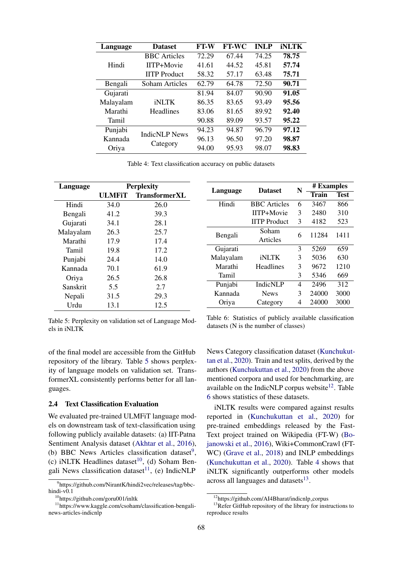<span id="page-2-7"></span>

| Language  | <b>Dataset</b>       | FT-W  | <b>FT-WC</b> | <b>INLP</b> | <b>iNLTK</b> |
|-----------|----------------------|-------|--------------|-------------|--------------|
| Hindi     | <b>BBC</b> Articles  | 72.29 | 67.44        | 74.25       | 78.75        |
|           | IITP+Movie           | 41.61 | 44.52        | 45.81       | 57.74        |
|           | <b>IITP</b> Product  | 58.32 | 57.17        | 63.48       | 75.71        |
| Bengali   | Soham Articles       | 62.79 | 64.78        | 72.50       | 90.71        |
| Gujarati  |                      | 81.94 | 84.07        | 90.90       | 91.05        |
| Malayalam | <b>iNLTK</b>         | 86.35 | 83.65        | 93.49       | 95.56        |
| Marathi   | <b>Headlines</b>     | 83.06 | 81.65        | 89.92       | 92.40        |
| Tamil     |                      | 90.88 | 89.09        | 93.57       | 95.22        |
| Punjabi   |                      | 94.23 | 94.87        | 96.79       | 97.12        |
| Kannada   | <b>IndicNLP News</b> | 96.13 | 96.50        | 97.20       | 98.87        |
| Oriya     | Category             | 94.00 | 95.93        | 98.07       | 98.83        |

<span id="page-2-6"></span>Table 4: Text classification accuracy on public datasets

<span id="page-2-1"></span>

| Language  | <b>Perplexity</b> |                      |           | <b>Dataset</b>      | N | # Examples |             |
|-----------|-------------------|----------------------|-----------|---------------------|---|------------|-------------|
|           | ULMFiT            | <b>TransformerXL</b> | Language  |                     |   | Train      | <b>Test</b> |
| Hindi     | 34.0              | 26.0                 | Hindi     | <b>BBC</b> Articles | 6 | 3467       | 866         |
| Bengali   | 41.2              | 39.3                 |           | IITP+Movie          | 3 | 2480       | 310         |
| Gujarati  | 34.1              | 28.1                 |           | <b>IITP</b> Product | 3 | 4182       | 523         |
| Malayalam | 26.3              | 25.7                 | Bengali   | Soham               | 6 | 11284      | 1411        |
| Marathi   | 17.9              | 17.4                 |           | Articles            |   |            |             |
| Tamil     | 19.8              | 17.2                 | Gujarati  |                     | 3 | 5269       | 659         |
| Punjabi   | 24.4              | 14.0                 | Malayalam | <b>iNLTK</b>        | 3 | 5036       | 630         |
| Kannada   | 70.1              | 61.9                 | Marathi   | <b>Headlines</b>    | 3 | 9672       | 1210        |
| Oriya     | 26.5              | 26.8                 | Tamil     |                     | 3 | 5346       | 669         |
| Sanskrit  | 5.5               | 2.7                  | Punjabi   | <b>IndicNLP</b>     | 4 | 2496       | 312         |
| Nepali    | 31.5              | 29.3                 | Kannada   | <b>News</b>         | 3 | 24000      | 3000        |
| Urdu      | 13.1              | 12.5                 | Oriya     | Category            | 4 | 24000      | 3000        |

Table 5: Perplexity on validation set of Language Models in iNLTK

Table 6: Statistics of publicly available classification datasets (N is the number of classes)

of the final model are accessible from the GitHub repository of the library. Table [5](#page-2-1) shows perplexity of language models on validation set. TransformerXL consistently performs better for all languages.

### <span id="page-2-0"></span>2.4 Text Classification Evaluation

We evaluated pre-trained ULMFiT language models on downstream task of text-classification using following publicly available datasets: (a) IIT-Patna Sentiment Analysis dataset [\(Akhtar et al.,](#page-4-0) [2016\)](#page-4-0), (b) BBC News Articles classification dataset<sup>[9](#page-2-2)</sup>, (c) iNLTK Headlines dataset<sup>[10](#page-2-3)</sup>, (d) Soham Ben-gali News classification dataset<sup>[11](#page-2-4)</sup>, (e) IndicNLP

News Category classification dataset [\(Kunchukut](#page-5-2)[tan et al.,](#page-5-2) [2020\)](#page-5-2). Train and test splits, derived by the authors [\(Kunchukuttan et al.,](#page-5-2) [2020\)](#page-5-2) from the above mentioned corpora and used for benchmarking, are available on the IndicNLP corpus website<sup>[12](#page-2-5)</sup>. Table [6](#page-2-6) shows statistics of these datasets.

iNLTK results were compared against results reported in [\(Kunchukuttan et al.,](#page-5-2) [2020\)](#page-5-2) for pre-trained embeddings released by the Fast-Text project trained on Wikipedia (FT-W) [\(Bo](#page-4-1)[janowski et al.,](#page-4-1) [2016\)](#page-4-1), Wiki+CommonCrawl (FT-WC) [\(Grave et al.,](#page-5-8) [2018\)](#page-5-8) and INLP embeddings [\(Kunchukuttan et al.,](#page-5-2) [2020\)](#page-5-2). Table [4](#page-2-7) shows that iNLTK significantly outperforms other models across all languages and datasets<sup>[13](#page-2-8)</sup>.

<span id="page-2-2"></span><sup>9</sup> https://github.com/NirantK/hindi2vec/releases/tag/bbchindi-v0.1

<span id="page-2-4"></span><span id="page-2-3"></span><sup>10</sup>https://github.com/goru001/inltk

<sup>&</sup>lt;sup>11</sup>https://www.kaggle.com/csoham/classification-bengalinews-articles-indicnlp

<span id="page-2-8"></span><span id="page-2-5"></span><sup>12</sup>https://github.com/AI4Bharat/indicnlp corpus

<sup>&</sup>lt;sup>13</sup>Refer GitHub repository of the library for instructions to reproduce results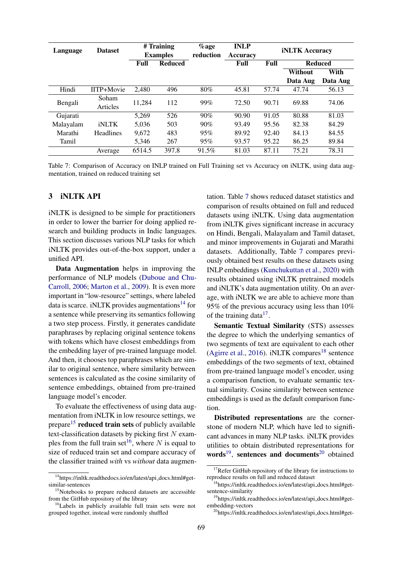<span id="page-3-3"></span>

| Language  | <b>Dataset</b>    | # Training<br><b>Examples</b> |                                       | $\%$ age<br>reduction | <b>INLP</b> | <b>iNLTK Accuracy</b> |                 |          |
|-----------|-------------------|-------------------------------|---------------------------------------|-----------------------|-------------|-----------------------|-----------------|----------|
|           |                   |                               |                                       |                       | Accuracy    |                       |                 |          |
|           |                   | Full                          | <b>Reduced</b><br>Full<br><b>Full</b> |                       |             | <b>Reduced</b>        |                 |          |
|           |                   |                               |                                       |                       |             |                       | Without<br>With |          |
|           |                   |                               |                                       |                       |             |                       | Data Aug        | Data Aug |
| Hindi     | IITP+Movie        | 2.480                         | 496                                   | 80%                   | 45.81       | 57.74                 | 47.74           | 56.13    |
| Bengali   | Soham<br>Articles | 11,284                        | 112                                   | 99%                   | 72.50       | 90.71                 | 69.88           | 74.06    |
| Gujarati  |                   | 5.269                         | 526                                   | 90%                   | 90.90       | 91.05                 | 80.88           | 81.03    |
| Malayalam | <b>iNLTK</b>      | 5.036                         | 503                                   | 90%                   | 93.49       | 95.56                 | 82.38           | 84.29    |
| Marathi   | <b>Headlines</b>  | 9,672                         | 483                                   | 95%                   | 89.92       | 92.40                 | 84.13           | 84.55    |
| Tamil     |                   | 5.346                         | 267                                   | 95%                   | 93.57       | 95.22                 | 86.25           | 89.84    |
|           | Average           | 6514.5                        | 397.8                                 | 91.5%                 | 81.03       | 87.11                 | 75.21           | 78.31    |

Table 7: Comparison of Accuracy on INLP trained on Full Training set vs Accuracy on iNLTK, using data augmentation, trained on reduced training set

## 3 iNLTK API

iNLTK is designed to be simple for practitioners in order to lower the barrier for doing applied research and building products in Indic languages. This section discusses various NLP tasks for which iNLTK provides out-of-the-box support, under a unified API.

Data Augmentation helps in improving the performance of NLP models [\(Duboue and Chu-](#page-5-9)[Carroll,](#page-5-9) [2006;](#page-5-9) [Marton et al.,](#page-5-10) [2009\)](#page-5-10). It is even more important in "low-resource" settings, where labeled data is scarce. iNLTK provides augmentations<sup>[14](#page-3-0)</sup> for a sentence while preserving its semantics following a two step process. Firstly, it generates candidate paraphrases by replacing original sentence tokens with tokens which have closest embeddings from the embedding layer of pre-trained language model. And then, it chooses top paraphrases which are similar to original sentence, where similarity between sentences is calculated as the cosine similarity of sentence embeddings, obtained from pre-trained language model's encoder.

To evaluate the effectiveness of using data augmentation from iNLTK in low resource settings, we prepare<sup>[15](#page-3-1)</sup> reduced train sets of publicly available text-classification datasets by picking first  $N$  exam-ples from the full train set<sup>[16](#page-3-2)</sup>, where N is equal to size of reduced train set and compare accuracy of the classifier trained *with* vs *without* data augmentation. Table [7](#page-3-3) shows reduced dataset statistics and comparison of results obtained on full and reduced datasets using iNLTK. Using data augmentation from iNLTK gives significant increase in accuracy on Hindi, Bengali, Malayalam and Tamil dataset, and minor improvements in Gujarati and Marathi datasets. Additionally, Table [7](#page-3-3) compares previously obtained best results on these datasets using INLP embeddings [\(Kunchukuttan et al.,](#page-5-2) [2020\)](#page-5-2) with results obtained using iNLTK pretrained models and iNLTK's data augmentation utility. On an average, with iNLTK we are able to achieve more than 95% of the previous accuracy using less than 10% of the training data $17$ .

Semantic Textual Similarity (STS) assesses the degree to which the underlying semantics of two segments of text are equivalent to each other [\(Agirre et al.,](#page-4-2) [2016\)](#page-4-2). iNLTK compares<sup>[18](#page-3-5)</sup> sentence embeddings of the two segments of text, obtained from pre-trained language model's encoder, using a comparison function, to evaluate semantic textual similarity. Cosine similarity between sentence embeddings is used as the default comparison function.

Distributed representations are the cornerstone of modern NLP, which have led to significant advances in many NLP tasks. iNLTK provides utilities to obtain distributed representations for words<sup>[19](#page-3-6)</sup>, sentences and documents<sup>[20](#page-3-7)</sup> obtained

<span id="page-3-0"></span><sup>&</sup>lt;sup>14</sup>https://inltk.readthedocs.io/en/latest/api\_docs.html#getsimilar-sentences

<span id="page-3-1"></span><sup>&</sup>lt;sup>15</sup>Notebooks to prepare reduced datasets are accessible from the GitHub repository of the library

<span id="page-3-2"></span><sup>16</sup>Labels in publicly available full train sets were not grouped together, instead were randomly shuffled

<span id="page-3-4"></span><sup>&</sup>lt;sup>17</sup>Refer GitHub repository of the library for instructions to reproduce results on full and reduced dataset

<span id="page-3-5"></span><sup>&</sup>lt;sup>18</sup>https://inltk.readthedocs.io/en/latest/api\_docs.html#getsentence-similarity

<span id="page-3-6"></span><sup>19</sup>https://inltk.readthedocs.io/en/latest/api docs.html#getembedding-vectors

<span id="page-3-7"></span><sup>&</sup>lt;sup>20</sup>https://inltk.readthedocs.io/en/latest/api\_docs.html#get-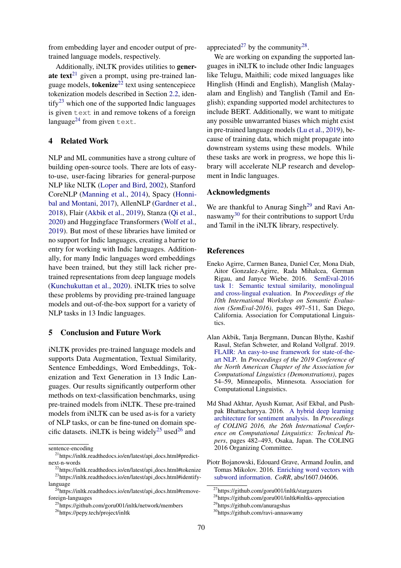from embedding layer and encoder output of pretrained language models, respectively.

Additionally, iNLTK provides utilities to gener-ate text<sup>[21](#page-4-3)</sup> given a prompt, using pre-trained language models, **tokenize**<sup>[22](#page-4-4)</sup> text using sentencepiece tokenization models described in Section [2.2,](#page-1-7) iden- $\text{tify}^{23}$  $\text{tify}^{23}$  $\text{tify}^{23}$  which one of the supported Indic languages is given text in and remove tokens of a foreign language<sup>[24](#page-4-6)</sup> from given text.

## 4 Related Work

NLP and ML communities have a strong culture of building open-source tools. There are lots of easyto-use, user-facing libraries for general-purpose NLP like NLTK [\(Loper and Bird,](#page-5-11) [2002\)](#page-5-11), Stanford CoreNLP [\(Manning et al.,](#page-5-12) [2014\)](#page-5-12), Spacy [\(Honni](#page-5-13)[bal and Montani,](#page-5-13) [2017\)](#page-5-13), AllenNLP [\(Gardner et al.,](#page-5-14) [2018\)](#page-5-14), Flair [\(Akbik et al.,](#page-4-7) [2019\)](#page-4-7), Stanza [\(Qi et al.,](#page-5-15) [2020\)](#page-5-15) and Huggingface Transformers [\(Wolf et al.,](#page-5-16) [2019\)](#page-5-16). But most of these libraries have limited or no support for Indic languages, creating a barrier to entry for working with Indic languages. Additionally, for many Indic languages word embeddings have been trained, but they still lack richer pretrained representations from deep language models [\(Kunchukuttan et al.,](#page-5-2) [2020\)](#page-5-2). iNLTK tries to solve these problems by providing pre-trained language models and out-of-the-box support for a variety of NLP tasks in 13 Indic languages.

#### 5 Conclusion and Future Work

iNLTK provides pre-trained language models and supports Data Augmentation, Textual Similarity, Sentence Embeddings, Word Embeddings, Tokenization and Text Generation in 13 Indic Languages. Our results significantly outperform other methods on text-classification benchmarks, using pre-trained models from iNLTK. These pre-trained models from iNLTK can be used as-is for a variety of NLP tasks, or can be fine-tuned on domain spe-cific datasets. iNLTK is being widely<sup>[25](#page-4-8)</sup> used<sup>[26](#page-4-9)</sup> and

appreciated<sup>[27](#page-4-10)</sup> by the community<sup>[28](#page-4-11)</sup>.

We are working on expanding the supported languages in iNLTK to include other Indic languages like Telugu, Maithili; code mixed languages like Hinglish (Hindi and English), Manglish (Malayalam and English) and Tanglish (Tamil and English); expanding supported model architectures to include BERT. Additionally, we want to mitigate any possible unwarranted biases which might exist in pre-trained language models [\(Lu et al.,](#page-5-17) [2019\)](#page-5-17), because of training data, which might propagate into downstream systems using these models. While these tasks are work in progress, we hope this library will accelerate NLP research and development in Indic languages.

# Acknowledgments

We are thankful to Anurag Singh<sup>[29](#page-4-12)</sup> and Ravi Annaswamy[30](#page-4-13) for their contributions to support Urdu and Tamil in the iNLTK library, respectively.

## References

- <span id="page-4-2"></span>Eneko Agirre, Carmen Banea, Daniel Cer, Mona Diab, Aitor Gonzalez-Agirre, Rada Mihalcea, German Rigau, and Janyce Wiebe. 2016. [SemEval-2016](https://doi.org/10.18653/v1/S16-1081) [task 1: Semantic textual similarity, monolingual](https://doi.org/10.18653/v1/S16-1081) [and cross-lingual evaluation.](https://doi.org/10.18653/v1/S16-1081) In *Proceedings of the 10th International Workshop on Semantic Evaluation (SemEval-2016)*, pages 497–511, San Diego, California. Association for Computational Linguistics.
- <span id="page-4-7"></span>Alan Akbik, Tanja Bergmann, Duncan Blythe, Kashif Rasul, Stefan Schweter, and Roland Vollgraf. 2019. [FLAIR: An easy-to-use framework for state-of-the](https://doi.org/10.18653/v1/N19-4010)[art NLP.](https://doi.org/10.18653/v1/N19-4010) In *Proceedings of the 2019 Conference of the North American Chapter of the Association for Computational Linguistics (Demonstrations)*, pages 54–59, Minneapolis, Minnesota. Association for Computational Linguistics.
- <span id="page-4-0"></span>Md Shad Akhtar, Ayush Kumar, Asif Ekbal, and Pushpak Bhattacharyya. 2016. [A hybrid deep learning](https://www.aclweb.org/anthology/C16-1047) [architecture for sentiment analysis.](https://www.aclweb.org/anthology/C16-1047) In *Proceedings of COLING 2016, the 26th International Conference on Computational Linguistics: Technical Papers*, pages 482–493, Osaka, Japan. The COLING 2016 Organizing Committee.
- <span id="page-4-1"></span>Piotr Bojanowski, Edouard Grave, Armand Joulin, and Tomas Mikolov. 2016. [Enriching word vectors with](http://arxiv.org/abs/1607.04606) [subword information.](http://arxiv.org/abs/1607.04606) *CoRR*, abs/1607.04606.

sentence-encoding

<span id="page-4-3"></span><sup>&</sup>lt;sup>21</sup>https://inltk.readthedocs.io/en/latest/api\_docs.html#predictnext-n-words

<span id="page-4-5"></span><span id="page-4-4"></span><sup>&</sup>lt;sup>22</sup>https://inltk.readthedocs.io/en/latest/api\_docs.html#tokenize <sup>23</sup>https://inltk.readthedocs.io/en/latest/api\_docs.html#identifylanguage

<span id="page-4-6"></span> $^{24}$ https://inltk.readthedocs.io/en/latest/api\_docs.html#removeforeign-languages

<span id="page-4-8"></span><sup>25</sup>https://github.com/goru001/inltk/network/members

<span id="page-4-9"></span><sup>26</sup>https://pepy.tech/project/inltk

<span id="page-4-10"></span><sup>27</sup>https://github.com/goru001/inltk/stargazers

<span id="page-4-11"></span><sup>28</sup>https://github.com/goru001/inltk#inltks-appreciation

<span id="page-4-12"></span><sup>29</sup>https://github.com/anuragshas

<span id="page-4-13"></span><sup>30</sup>https://github.com/ravi-annaswamy